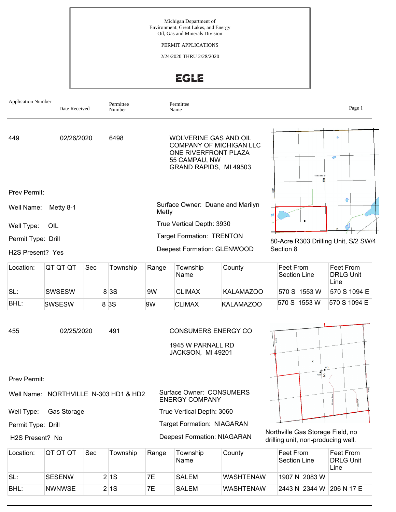

EGLE

| <b>Application Number</b><br>Date Received                                                                         |                                       |     | Permittee<br>Number |                                                                                                                            | Permittee<br>Name                                 |                  |           |                                                                        | Page 1                                |
|--------------------------------------------------------------------------------------------------------------------|---------------------------------------|-----|---------------------|----------------------------------------------------------------------------------------------------------------------------|---------------------------------------------------|------------------|-----------|------------------------------------------------------------------------|---------------------------------------|
| 449                                                                                                                | 02/26/2020<br>6498                    |     |                     | WOLVERINE GAS AND OIL<br><b>COMPANY OF MICHIGAN LLC</b><br>ONE RIVERFRONT PLAZA<br>55 CAMPAU, NW<br>GRAND RAPIDS, MI 49503 |                                                   |                  |           | TO 3 SROP V                                                            |                                       |
| Prev Permit:                                                                                                       |                                       |     |                     |                                                                                                                            |                                                   |                  |           |                                                                        |                                       |
| Well Name:                                                                                                         | Metty 8-1                             |     |                     | Metty                                                                                                                      | Surface Owner: Duane and Marilyn                  |                  |           |                                                                        | G                                     |
| Well Type:                                                                                                         | OIL                                   |     |                     |                                                                                                                            | True Vertical Depth: 3930                         |                  |           |                                                                        |                                       |
| Permit Type: Drill                                                                                                 |                                       |     |                     |                                                                                                                            | <b>Target Formation: TRENTON</b>                  |                  |           |                                                                        | 80-Acre R303 Drilling Unit, S/2 SW/4  |
| H2S Present? Yes                                                                                                   |                                       |     |                     |                                                                                                                            | Deepest Formation: GLENWOOD                       |                  | Section 8 |                                                                        |                                       |
| Location:                                                                                                          | QT QT QT                              | Sec | Township            | Range                                                                                                                      | Township<br>Name                                  | County           |           | Feet From<br><b>Section Line</b>                                       | Feet From<br><b>DRLG Unit</b><br>Line |
| SL:                                                                                                                | <b>SWSESW</b>                         |     | 8 3 S               | 9W                                                                                                                         | <b>CLIMAX</b>                                     | <b>KALAMAZOO</b> |           | 570 S 1553 W                                                           | 570 S 1094 E                          |
| BHL:                                                                                                               | <b>SWSESW</b>                         |     | 8 3 S               | 9W                                                                                                                         | <b>CLIMAX</b>                                     | <b>KALAMAZOO</b> |           | 570 S 1553 W                                                           | 570 S 1094 E                          |
| 455<br>491<br><b>CONSUMERS ENERGY CO</b><br>02/25/2020<br>1945 W PARNALL RD<br>JACKSON, MI 49201<br>$\pmb{\times}$ |                                       |     |                     |                                                                                                                            |                                                   |                  |           |                                                                        |                                       |
| Prev Permit:                                                                                                       |                                       |     |                     |                                                                                                                            |                                                   |                  |           | $\frac{1}{2}$                                                          |                                       |
|                                                                                                                    | Well Name: NORTHVILLE N-303 HD1 & HD2 |     |                     |                                                                                                                            | Surface Owner: CONSUMERS<br><b>ENERGY COMPANY</b> |                  |           |                                                                        |                                       |
| Well Type:                                                                                                         | Gas Storage                           |     |                     | True Vertical Depth: 3060                                                                                                  |                                                   |                  |           |                                                                        |                                       |
| Permit Type: Drill                                                                                                 |                                       |     |                     |                                                                                                                            | <b>Target Formation: NIAGARAN</b>                 |                  |           |                                                                        |                                       |
| H2S Present? No                                                                                                    |                                       |     |                     | <b>Deepest Formation: NIAGARAN</b>                                                                                         |                                                   |                  |           | Northville Gas Storage Field, no<br>drilling unit, non-producing well. |                                       |
| Location:                                                                                                          | QT QT QT                              | Sec | Township            | Range                                                                                                                      | Township<br>Name                                  | County           |           | Feet From<br><b>Section Line</b>                                       | Feet From<br><b>DRLG Unit</b><br>Line |
| SL:                                                                                                                | <b>SESENW</b>                         |     | 2 1S                | 7E                                                                                                                         | <b>SALEM</b>                                      | <b>WASHTENAW</b> |           | 1907 N 2083 W                                                          |                                       |

**NWNWSE** 

BHL:

 $2|1S$ 

7E

**SALEM** 

**WASHTENAW** 

2443 N 2344 W 206 N 17 E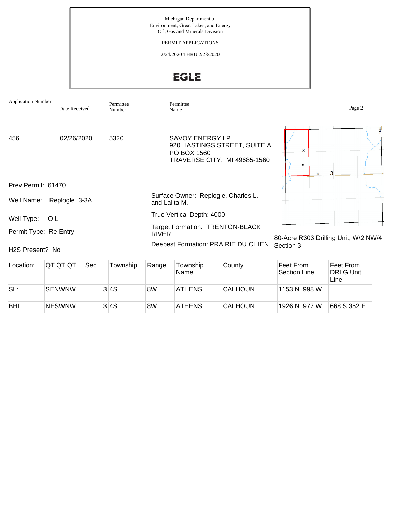Michigan Department of Environment, Great Lakes, and Energy Oil, Gas and Minerals Division

PERMIT APPLICATIONS

2/24/2020 THRU 2/28/2020

EGLE

| <b>Application Number</b>    | Date Received   | Permittee<br>Number | Permittee<br>Name                                                                                     | Page 2                               |
|------------------------------|-----------------|---------------------|-------------------------------------------------------------------------------------------------------|--------------------------------------|
| 456                          | 02/26/2020      | 5320                | <b>SAVOY ENERGY LP</b><br>920 HASTINGS STREET, SUITE A<br>PO BOX 1560<br>TRAVERSE CITY, MI 49685-1560 | X<br>M                               |
| Prev Permit: 61470           |                 |                     |                                                                                                       |                                      |
| Well Name:                   | Replogle 3-3A   |                     | Surface Owner: Replogle, Charles L.<br>and Lalita M.                                                  |                                      |
| Well Type:                   | OIL             |                     | True Vertical Depth: 4000                                                                             |                                      |
| Permit Type: Re-Entry        |                 |                     | <b>Target Formation: TRENTON-BLACK</b><br><b>RIVER</b>                                                | 80-Acre R303 Drilling Unit, W/2 NW/4 |
| H <sub>2</sub> S Present? No |                 |                     | Deepest Formation: PRAIRIE DU CHIEN<br>Section 3                                                      |                                      |
| Location:                    | QT QT QT<br>Sec | Township            | Range<br>County<br><b>Feet From</b><br>Township                                                       | Feet From                            |

| Location: | IQT QT QT     | Sec | Township | Range | Township<br>'Name | County         | ∣Feet From<br>Section Line | Feet From<br><b>DRLG Unit</b><br>Line |
|-----------|---------------|-----|----------|-------|-------------------|----------------|----------------------------|---------------------------------------|
| SL:       | <b>SENWNW</b> |     | 3 4S     | 8W    | <b>ATHENS</b>     | <b>CALHOUN</b> | 1153 N 998 W               |                                       |
| BHL:      | <b>NESWNW</b> |     | 3 4S     | 8W    | <b>ATHENS</b>     | <b>CALHOUN</b> | 1926 N 977 W               | 668 S 352 E                           |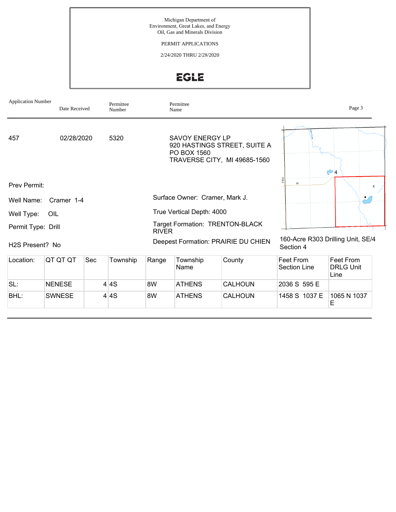Michigan Department of Environment, Great Lakes, and Energy Oil, Gas and Minerals Division

PERMIT APPLICATIONS

2/24/2020 THRU 2/28/2020

EGLE

| <b>Application Number</b>    | Date Received |     | Permittee<br>Number |              | Permittee<br>Name                     |                                                              |                                                | Page 3                                |  |
|------------------------------|---------------|-----|---------------------|--------------|---------------------------------------|--------------------------------------------------------------|------------------------------------------------|---------------------------------------|--|
| 5320<br>457<br>02/28/2020    |               |     |                     |              | <b>SAVOY ENERGY LP</b><br>PO BOX 1560 | 920 HASTINGS STREET, SUITE A<br>TRAVERSE CITY, MI 49685-1560 | $\bullet$ 4<br>M                               |                                       |  |
| Prev Permit:                 |               |     |                     |              |                                       |                                                              |                                                | x                                     |  |
| Well Name:                   | Cramer 1-4    |     |                     |              | Surface Owner: Cramer, Mark J.        |                                                              |                                                |                                       |  |
| Well Type:                   | OIL           |     |                     |              | True Vertical Depth: 4000             |                                                              |                                                |                                       |  |
| Permit Type: Drill           |               |     |                     | <b>RIVER</b> |                                       | <b>Target Formation: TRENTON-BLACK</b>                       |                                                |                                       |  |
| H <sub>2</sub> S Present? No |               |     |                     |              |                                       | Deepest Formation: PRAIRIE DU CHIEN                          | 160-Acre R303 Drilling Unit, SE/4<br>Section 4 |                                       |  |
| Location:                    | QT QT QT      | Sec | Township            | Range        | Township<br>Name                      | County                                                       | Feet From<br><b>Section Line</b>               | Feet From<br><b>DRLG Unit</b><br>Line |  |
| SL:                          | <b>NENESE</b> |     | 4 4S                | 8W           | <b>ATHENS</b>                         | <b>CALHOUN</b>                                               | 2036 S 595 E                                   |                                       |  |
| BHL:                         | <b>SWNESE</b> |     | 4 <sup>4</sup> S    | 8W           | <b>ATHENS</b>                         | CALHOUN                                                      | 1458 S 1037 E                                  | 1065 N 1037<br>Е                      |  |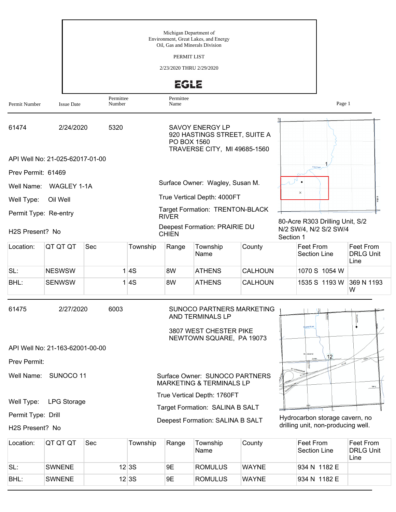| Permit Number      | <b>Issue Date</b>               | Permittee<br>Number |          | <b>EGLE</b><br>Permittee<br>Name |                                                                                                     |              |           | Page 1                                                               |                                       |
|--------------------|---------------------------------|---------------------|----------|----------------------------------|-----------------------------------------------------------------------------------------------------|--------------|-----------|----------------------------------------------------------------------|---------------------------------------|
| 61474              |                                 | 2/24/2020<br>5320   |          |                                  | SAVOY ENERGY LP<br>920 HASTINGS STREET, SUITE A<br>PO BOX 1560<br>TRAVERSE CITY, MI 49685-1560      |              |           |                                                                      |                                       |
|                    | API Well No: 21-025-62017-01-00 |                     |          |                                  |                                                                                                     |              |           | Pine Creek                                                           |                                       |
| Prev Permit: 61469 |                                 |                     |          |                                  | Surface Owner: Wagley, Susan M.                                                                     |              |           |                                                                      |                                       |
| Well Name:         | WAGLEY 1-1A                     |                     |          |                                  | True Vertical Depth: 4000FT                                                                         |              |           | $\times$                                                             |                                       |
| Well Type:         | Oil Well                        |                     |          |                                  | Target Formation: TRENTON-BLACK                                                                     |              |           |                                                                      |                                       |
|                    | Permit Type: Re-entry           |                     |          | <b>RIVER</b>                     |                                                                                                     |              |           | 80-Acre R303 Drilling Unit, S/2                                      |                                       |
| H2S Present? No    |                                 |                     |          | <b>CHIEN</b>                     | Deepest Formation: PRAIRIE DU                                                                       |              | Section 1 | N/2 SW/4, N/2 S/2 SW/4                                               |                                       |
| Location:          | QT QT QT                        | Sec                 | Township | Range                            | Township<br>Name                                                                                    | County       |           | Feet From<br><b>Section Line</b>                                     | Feet From<br><b>DRLG Unit</b><br>Line |
| SL:                | <b>NESWSW</b>                   |                     | 1 4S     | 8W                               | <b>ATHENS</b>                                                                                       | CALHOUN      |           | 1070 S 1054 W                                                        |                                       |
| BHL:               | <b>SENWSW</b>                   |                     | 1 4S     | 8W                               | <b>ATHENS</b>                                                                                       | CALHOUN      |           | 1535 S 1193 W                                                        | 369 N 1193<br>W                       |
| 61475              | 2/27/2020                       | 6003                |          |                                  | SUNOCO PARTNERS MARKETING<br>AND TERMINALS LP<br>3807 WEST CHESTER PIKE<br>NEWTOWN SQUARE, PA 19073 |              |           | porse River                                                          |                                       |
|                    | API Well No: 21-163-62001-00-00 |                     |          |                                  |                                                                                                     |              |           | TO'S SROPE                                                           |                                       |
| Prev Permit:       |                                 |                     |          |                                  |                                                                                                     |              |           | 12<br>Smit                                                           |                                       |
| Well Name:         | SUNOCO 11                       |                     |          |                                  | Surface Owner: SUNOCO PARTNERS<br><b>MARKETING &amp; TERMINALS LP</b>                               |              |           |                                                                      | Mary                                  |
| Well Type:         | <b>LPG Storage</b>              |                     |          |                                  | True Vertical Depth: 1760FT                                                                         |              |           |                                                                      |                                       |
| Permit Type: Drill |                                 |                     |          |                                  | Target Formation: SALINA B SALT                                                                     |              |           |                                                                      |                                       |
| H2S Present? No    |                                 |                     |          |                                  | Deepest Formation: SALINA B SALT                                                                    |              |           | Hydrocarbon storage cavern, no<br>drilling unit, non-producing well. |                                       |
| Location:          | QT QT QT                        | Sec                 | Township | Range                            | Township<br>Name                                                                                    | County       |           | Feet From<br>Section Line                                            | Feet From<br><b>DRLG Unit</b><br>Line |
| SL:                | <b>SWNENE</b>                   |                     | 12 3S    | 9E                               | <b>ROMULUS</b>                                                                                      | <b>WAYNE</b> |           | 934 N 1182 E                                                         |                                       |

BHL: SWNENE 12 3S 9E ROMULUS WAYNE 934 N 1182 E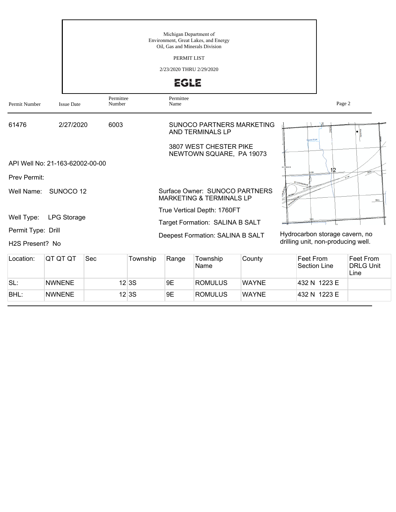|                                                    |                                 | Michigan Department of<br>Environment, Great Lakes, and Energy<br>Oil, Gas and Minerals Division<br>PERMIT LIST<br>2/23/2020 THRU 2/29/2020<br><b>EGLE</b> |                                                                                                            |                                                                      |  |  |  |  |  |
|----------------------------------------------------|---------------------------------|------------------------------------------------------------------------------------------------------------------------------------------------------------|------------------------------------------------------------------------------------------------------------|----------------------------------------------------------------------|--|--|--|--|--|
| Permit Number                                      | <b>Issue Date</b>               | Permittee<br>Number                                                                                                                                        | Permittee<br>Name                                                                                          | Page 2                                                               |  |  |  |  |  |
| 61476                                              | 2/27/2020                       | 6003                                                                                                                                                       | <b>SUNOCO PARTNERS MARKETING</b><br>AND TERMINALS LP<br>3807 WEST CHESTER PIKE<br>NEWTOWN SQUARE, PA 19073 | me Rive                                                              |  |  |  |  |  |
|                                                    | API Well No: 21-163-62002-00-00 |                                                                                                                                                            |                                                                                                            | 03 SR09E<br>12                                                       |  |  |  |  |  |
| <b>Prev Permit:</b>                                |                                 |                                                                                                                                                            |                                                                                                            | WI 94M                                                               |  |  |  |  |  |
|                                                    | Well Name: SUNOCO 12            |                                                                                                                                                            | Surface Owner: SUNOCO PARTNERS<br><b>MARKETING &amp; TERMINALS LP</b>                                      | Mary                                                                 |  |  |  |  |  |
| Well Type:                                         | <b>LPG Storage</b>              |                                                                                                                                                            | True Vertical Depth: 1760FT                                                                                |                                                                      |  |  |  |  |  |
|                                                    |                                 |                                                                                                                                                            | Target Formation: SALINA B SALT                                                                            |                                                                      |  |  |  |  |  |
| Permit Type: Drill<br>H <sub>2</sub> S Present? No |                                 |                                                                                                                                                            | Deepest Formation: SALINA B SALT                                                                           | Hydrocarbon storage cavern, no<br>drilling unit, non-producing well. |  |  |  |  |  |

| Location: | IQT QT QT     | Sec | Township | Range | Township<br>Name | County       | ∣Feet From<br>Section Line | Feet From<br><b>DRLG Unit</b><br>Line |
|-----------|---------------|-----|----------|-------|------------------|--------------|----------------------------|---------------------------------------|
| SL:       | <b>NWNENE</b> |     | 12 3S    | 9Ε    | ROMULUS          | <b>WAYNE</b> | 432 N 1223 E               |                                       |
| BHL:      | <b>NWNENE</b> |     | 12 3S    | 9E    | <b>ROMULUS</b>   | <b>WAYNE</b> | 432 N 1223 E               |                                       |